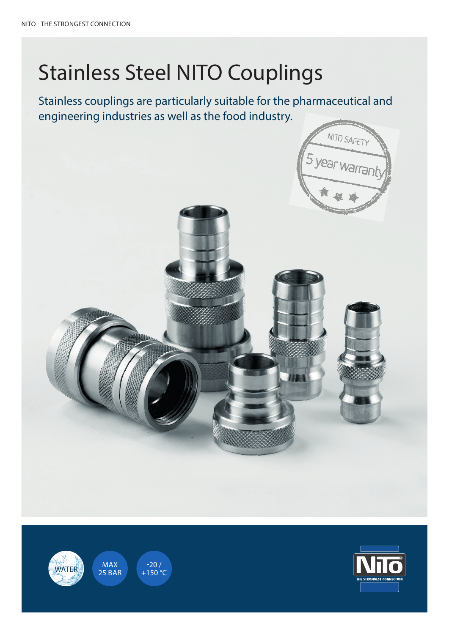## Stainless Steel NITO Couplings

Stainless couplings are particularly suitable for the pharmaceutical and engineering industries as well as the food industry.

Undgå arbejdsskader med den stadsskader med den stadsskader med den stadsskader med den stadsskader med den st

NITO SAFETY<br>5 year warrant